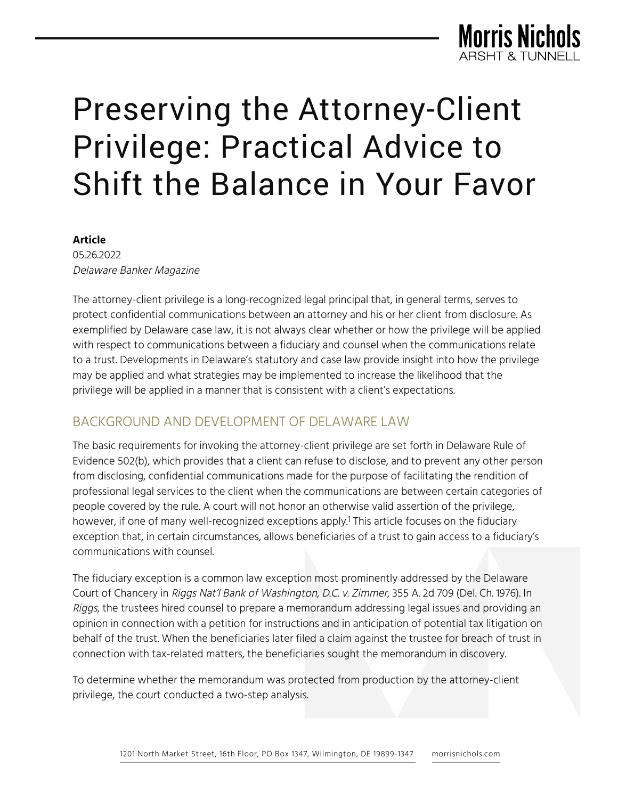

#### **Article**

05.26.2022 Delaware Banker Magazine

The attorney-client privilege is a long-recognized legal principal that, in general terms, serves to protect confidential communications between an attorney and his or her client from disclosure. As exemplified by Delaware case law, it is not always clear whether or how the privilege will be applied with respect to communications between a fiduciary and counsel when the communications relate to a trust. Developments in Delaware's statutory and case law provide insight into how the privilege may be applied and what strategies may be implemented to increase the likelihood that the privilege will be applied in a manner that is consistent with a client's expectations.

## BACKGROUND AND DEVELOPMENT OF DELAWARE LAW

The basic requirements for invoking the attorney-client privilege are set forth in Delaware Rule of Evidence 502(b), which provides that a client can refuse to disclose, and to prevent any other person from disclosing, confidential communications made for the purpose of facilitating the rendition of professional legal services to the client when the communications are between certain categories of people covered by the rule. A court will not honor an otherwise valid assertion of the privilege, however, if one of many well-recognized exceptions apply.<sup>1</sup> This article focuses on the fiduciary exception that, in certain circumstances, allows beneficiaries of a trust to gain access to a fiduciary's communications with counsel.

The fiduciary exception is a common law exception most prominently addressed by the Delaware Court of Chancery in Riggs Nat'l Bank of Washington, D.C. v. Zimmer, 355 A. 2d 709 (Del. Ch. 1976). In Riggs, the trustees hired counsel to prepare a memorandum addressing legal issues and providing an opinion in connection with a petition for instructions and in anticipation of potential tax litigation on behalf of the trust. When the beneficiaries later filed a claim against the trustee for breach of trust in connection with tax-related matters, the beneficiaries sought the memorandum in discovery.

To determine whether the memorandum was protected from production by the attorney-client privilege, the court conducted a two-step analysis.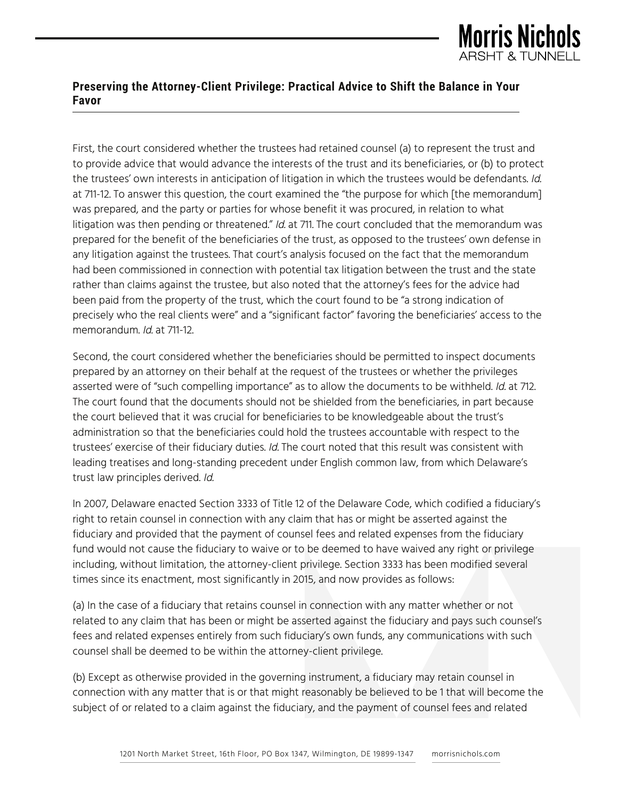

First, the court considered whether the trustees had retained counsel (a) to represent the trust and to provide advice that would advance the interests of the trust and its beneficiaries, or (b) to protect the trustees' own interests in anticipation of litigation in which the trustees would be defendants. Id. at 711-12. To answer this question, the court examined the "the purpose for which [the memorandum] was prepared, and the party or parties for whose benefit it was procured, in relation to what litigation was then pending or threatened." Id. at 711. The court concluded that the memorandum was prepared for the benefit of the beneficiaries of the trust, as opposed to the trustees' own defense in any litigation against the trustees. That court's analysis focused on the fact that the memorandum had been commissioned in connection with potential tax litigation between the trust and the state rather than claims against the trustee, but also noted that the attorney's fees for the advice had been paid from the property of the trust, which the court found to be "a strong indication of precisely who the real clients were" and a "significant factor" favoring the beneficiaries' access to the memorandum. Id. at 711-12.

Second, the court considered whether the beneficiaries should be permitted to inspect documents prepared by an attorney on their behalf at the request of the trustees or whether the privileges asserted were of "such compelling importance" as to allow the documents to be withheld. Id. at 712. The court found that the documents should not be shielded from the beneficiaries, in part because the court believed that it was crucial for beneficiaries to be knowledgeable about the trust's administration so that the beneficiaries could hold the trustees accountable with respect to the trustees' exercise of their fiduciary duties. Id. The court noted that this result was consistent with leading treatises and long-standing precedent under English common law, from which Delaware's trust law principles derived. Id.

In 2007, Delaware enacted Section 3333 of Title 12 of the Delaware Code, which codified a fiduciary's right to retain counsel in connection with any claim that has or might be asserted against the fiduciary and provided that the payment of counsel fees and related expenses from the fiduciary fund would not cause the fiduciary to waive or to be deemed to have waived any right or privilege including, without limitation, the attorney-client privilege. Section 3333 has been modified several times since its enactment, most significantly in 2015, and now provides as follows:

(a) In the case of a fiduciary that retains counsel in connection with any matter whether or not related to any claim that has been or might be asserted against the fiduciary and pays such counsel's fees and related expenses entirely from such fiduciary's own funds, any communications with such counsel shall be deemed to be within the attorney-client privilege.

(b) Except as otherwise provided in the governing instrument, a fiduciary may retain counsel in connection with any matter that is or that might reasonably be believed to be 1 that will become the subject of or related to a claim against the fiduciary, and the payment of counsel fees and related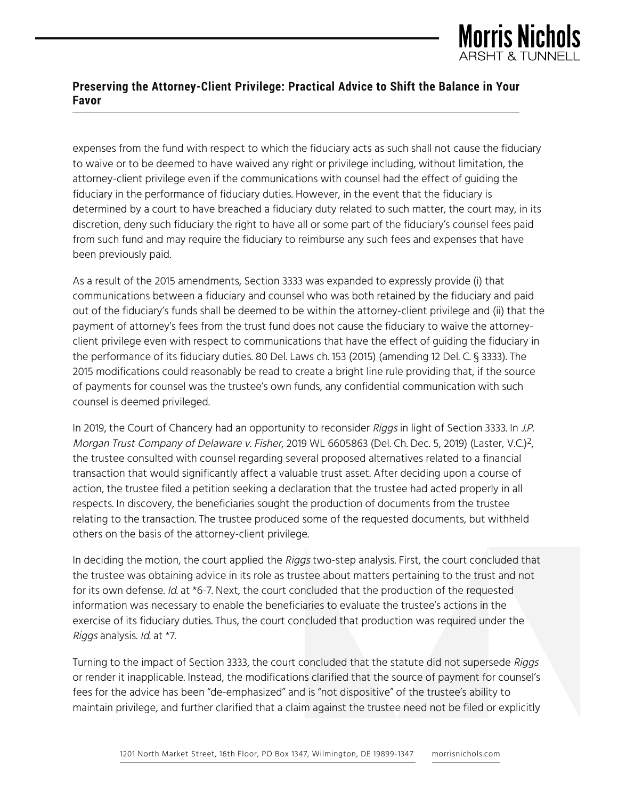

expenses from the fund with respect to which the fiduciary acts as such shall not cause the fiduciary to waive or to be deemed to have waived any right or privilege including, without limitation, the attorney-client privilege even if the communications with counsel had the effect of guiding the fiduciary in the performance of fiduciary duties. However, in the event that the fiduciary is determined by a court to have breached a fiduciary duty related to such matter, the court may, in its discretion, deny such fiduciary the right to have all or some part of the fiduciary's counsel fees paid from such fund and may require the fiduciary to reimburse any such fees and expenses that have been previously paid.

As a result of the 2015 amendments, Section 3333 was expanded to expressly provide (i) that communications between a fiduciary and counsel who was both retained by the fiduciary and paid out of the fiduciary's funds shall be deemed to be within the attorney-client privilege and (ii) that the payment of attorney's fees from the trust fund does not cause the fiduciary to waive the attorneyclient privilege even with respect to communications that have the effect of guiding the fiduciary in the performance of its fiduciary duties. 80 Del. Laws ch. 153 (2015) (amending 12 Del. C. § 3333). The 2015 modifications could reasonably be read to create a bright line rule providing that, if the source of payments for counsel was the trustee's own funds, any confidential communication with such counsel is deemed privileged.

In 2019, the Court of Chancery had an opportunity to reconsider Riggs in light of Section 3333. In J.P. Morgan Trust Company of Delaware v. Fisher, 2019 WL 6605863 (Del. Ch. Dec. 5, 2019) (Laster, V.C.)<sup>2</sup>, the trustee consulted with counsel regarding several proposed alternatives related to a financial transaction that would significantly affect a valuable trust asset. After deciding upon a course of action, the trustee filed a petition seeking a declaration that the trustee had acted properly in all respects. In discovery, the beneficiaries sought the production of documents from the trustee relating to the transaction. The trustee produced some of the requested documents, but withheld others on the basis of the attorney-client privilege.

In deciding the motion, the court applied the Riggs two-step analysis. First, the court concluded that the trustee was obtaining advice in its role as trustee about matters pertaining to the trust and not for its own defense. Id. at \*6-7. Next, the court concluded that the production of the requested information was necessary to enable the beneficiaries to evaluate the trustee's actions in the exercise of its fiduciary duties. Thus, the court concluded that production was required under the Riggs analysis. Id. at \*7.

Turning to the impact of Section 3333, the court concluded that the statute did not supersede Riggs or render it inapplicable. Instead, the modifications clarified that the source of payment for counsel's fees for the advice has been "de-emphasized" and is "not dispositive" of the trustee's ability to maintain privilege, and further clarified that a claim against the trustee need not be filed or explicitly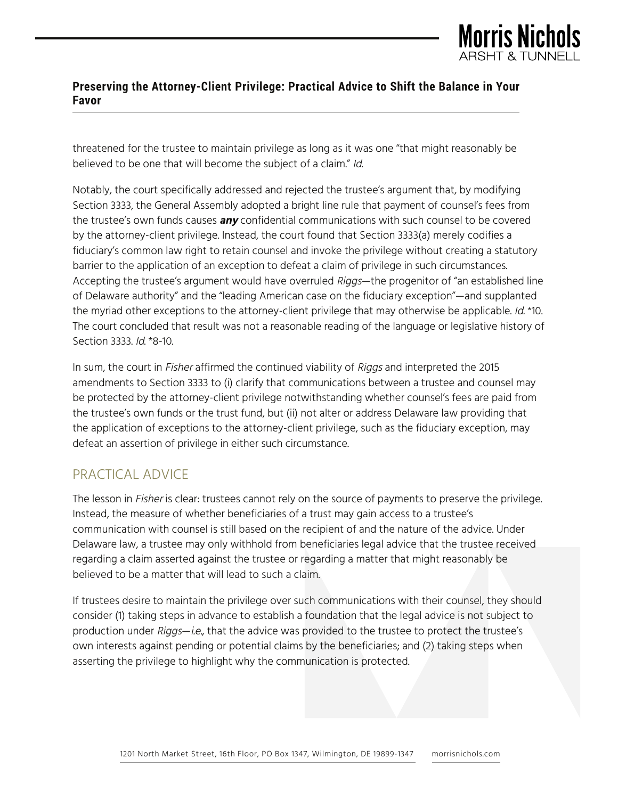

threatened for the trustee to maintain privilege as long as it was one "that might reasonably be believed to be one that will become the subject of a claim." Id.

Notably, the court specifically addressed and rejected the trustee's argument that, by modifying Section 3333, the General Assembly adopted a bright line rule that payment of counsel's fees from the trustee's own funds causes **any** confidential communications with such counsel to be covered by the attorney-client privilege. Instead, the court found that Section 3333(a) merely codifies a fiduciary's common law right to retain counsel and invoke the privilege without creating a statutory barrier to the application of an exception to defeat a claim of privilege in such circumstances. Accepting the trustee's argument would have overruled Riggs—the progenitor of "an established line of Delaware authority" and the "leading American case on the fiduciary exception"—and supplanted the myriad other exceptions to the attorney-client privilege that may otherwise be applicable. Id. \*10. The court concluded that result was not a reasonable reading of the language or legislative history of Section 3333. Id. \*8-10.

In sum, the court in *Fisher* affirmed the continued viability of *Riggs* and interpreted the 2015 amendments to Section 3333 to (i) clarify that communications between a trustee and counsel may be protected by the attorney-client privilege notwithstanding whether counsel's fees are paid from the trustee's own funds or the trust fund, but (ii) not alter or address Delaware law providing that the application of exceptions to the attorney-client privilege, such as the fiduciary exception, may defeat an assertion of privilege in either such circumstance.

# PRACTICAL ADVICE

The lesson in Fisher is clear: trustees cannot rely on the source of payments to preserve the privilege. Instead, the measure of whether beneficiaries of a trust may gain access to a trustee's communication with counsel is still based on the recipient of and the nature of the advice. Under Delaware law, a trustee may only withhold from beneficiaries legal advice that the trustee received regarding a claim asserted against the trustee or regarding a matter that might reasonably be believed to be a matter that will lead to such a claim.

If trustees desire to maintain the privilege over such communications with their counsel, they should consider (1) taking steps in advance to establish a foundation that the legal advice is not subject to production under Riggs—i.e., that the advice was provided to the trustee to protect the trustee's own interests against pending or potential claims by the beneficiaries; and (2) taking steps when asserting the privilege to highlight why the communication is protected.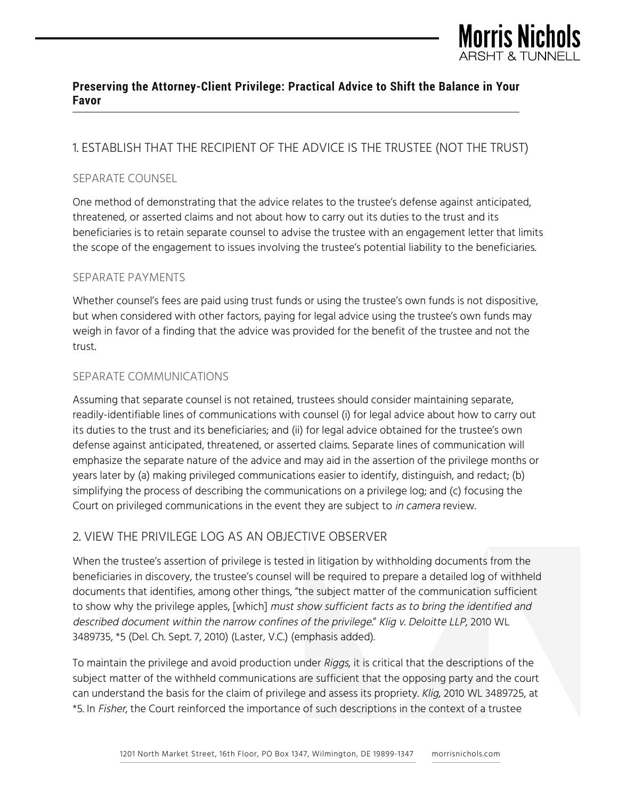

## 1. ESTABLISH THAT THE RECIPIENT OF THE ADVICE IS THE TRUSTEE (NOT THE TRUST)

#### SEPARATE COUNSEL

One method of demonstrating that the advice relates to the trustee's defense against anticipated, threatened, or asserted claims and not about how to carry out its duties to the trust and its beneficiaries is to retain separate counsel to advise the trustee with an engagement letter that limits the scope of the engagement to issues involving the trustee's potential liability to the beneficiaries.

#### SEPARATE PAYMENTS

Whether counsel's fees are paid using trust funds or using the trustee's own funds is not dispositive, but when considered with other factors, paying for legal advice using the trustee's own funds may weigh in favor of a finding that the advice was provided for the benefit of the trustee and not the trust.

#### SEPARATE COMMUNICATIONS

Assuming that separate counsel is not retained, trustees should consider maintaining separate, readily-identifiable lines of communications with counsel (i) for legal advice about how to carry out its duties to the trust and its beneficiaries; and (ii) for legal advice obtained for the trustee's own defense against anticipated, threatened, or asserted claims. Separate lines of communication will emphasize the separate nature of the advice and may aid in the assertion of the privilege months or years later by (a) making privileged communications easier to identify, distinguish, and redact; (b) simplifying the process of describing the communications on a privilege log; and (c) focusing the Court on privileged communications in the event they are subject to *in camera* review.

#### 2. VIEW THE PRIVILEGE LOG AS AN OBJECTIVE OBSERVER

When the trustee's assertion of privilege is tested in litigation by withholding documents from the beneficiaries in discovery, the trustee's counsel will be required to prepare a detailed log of withheld documents that identifies, among other things, "the subject matter of the communication sufficient to show why the privilege apples, [which] must show sufficient facts as to bring the identified and described document within the narrow confines of the privilege." Klig v. Deloitte LLP, 2010 WL 3489735, \*5 (Del. Ch. Sept. 7, 2010) (Laster, V.C.) (emphasis added).

To maintain the privilege and avoid production under Riggs, it is critical that the descriptions of the subject matter of the withheld communications are sufficient that the opposing party and the court can understand the basis for the claim of privilege and assess its propriety. Klig, 2010 WL 3489725, at \*5. In Fisher, the Court reinforced the importance of such descriptions in the context of a trustee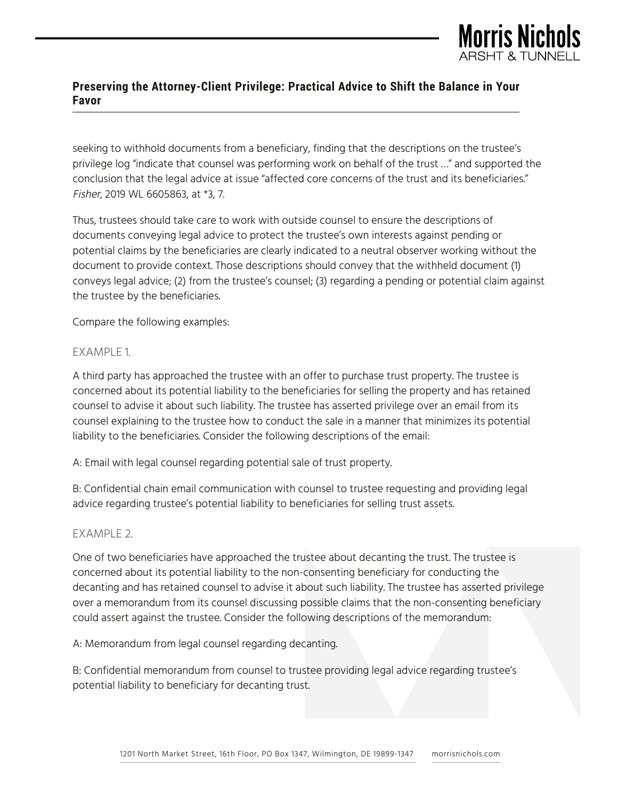

seeking to withhold documents from a beneficiary, finding that the descriptions on the trustee's privilege log "indicate that counsel was performing work on behalf of the trust …" and supported the conclusion that the legal advice at issue "affected core concerns of the trust and its beneficiaries." Fisher, 2019 WL 6605863, at \*3, 7.

Thus, trustees should take care to work with outside counsel to ensure the descriptions of documents conveying legal advice to protect the trustee's own interests against pending or potential claims by the beneficiaries are clearly indicated to a neutral observer working without the document to provide context. Those descriptions should convey that the withheld document (1) conveys legal advice; (2) from the trustee's counsel; (3) regarding a pending or potential claim against the trustee by the beneficiaries.

Compare the following examples:

#### EXAMPLE 1.

A third party has approached the trustee with an offer to purchase trust property. The trustee is concerned about its potential liability to the beneficiaries for selling the property and has retained counsel to advise it about such liability. The trustee has asserted privilege over an email from its counsel explaining to the trustee how to conduct the sale in a manner that minimizes its potential liability to the beneficiaries. Consider the following descriptions of the email:

A: Email with legal counsel regarding potential sale of trust property.

B: Confidential chain email communication with counsel to trustee requesting and providing legal advice regarding trustee's potential liability to beneficiaries for selling trust assets.

#### EXAMPLE 2.

One of two beneficiaries have approached the trustee about decanting the trust. The trustee is concerned about its potential liability to the non-consenting beneficiary for conducting the decanting and has retained counsel to advise it about such liability. The trustee has asserted privilege over a memorandum from its counsel discussing possible claims that the non-consenting beneficiary could assert against the trustee. Consider the following descriptions of the memorandum:

A: Memorandum from legal counsel regarding decanting.

B: Confidential memorandum from counsel to trustee providing legal advice regarding trustee's potential liability to beneficiary for decanting trust.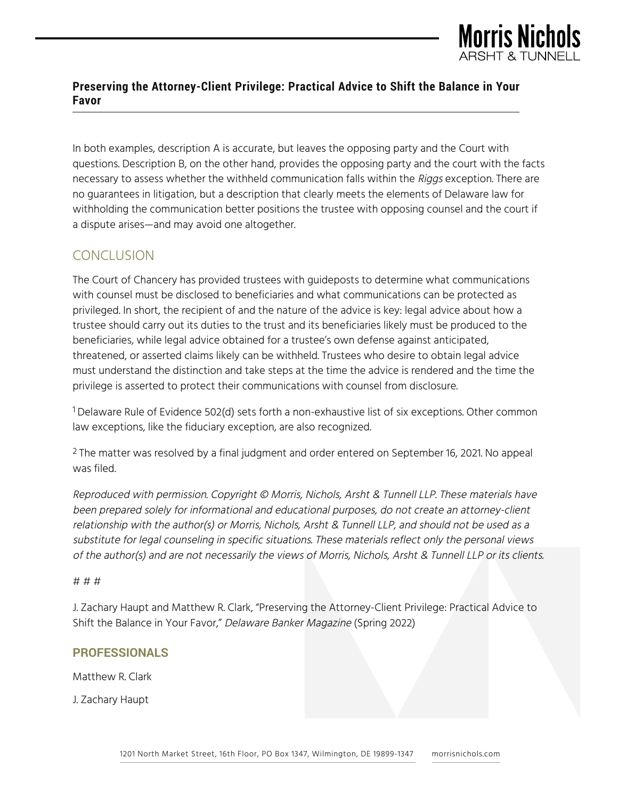

In both examples, description A is accurate, but leaves the opposing party and the Court with questions. Description B, on the other hand, provides the opposing party and the court with the facts necessary to assess whether the withheld communication falls within the Riggs exception. There are no guarantees in litigation, but a description that clearly meets the elements of Delaware law for withholding the communication better positions the trustee with opposing counsel and the court if a dispute arises—and may avoid one altogether.

## **CONCLUSION**

The Court of Chancery has provided trustees with guideposts to determine what communications with counsel must be disclosed to beneficiaries and what communications can be protected as privileged. In short, the recipient of and the nature of the advice is key: legal advice about how a trustee should carry out its duties to the trust and its beneficiaries likely must be produced to the beneficiaries, while legal advice obtained for a trustee's own defense against anticipated, threatened, or asserted claims likely can be withheld. Trustees who desire to obtain legal advice must understand the distinction and take steps at the time the advice is rendered and the time the privilege is asserted to protect their communications with counsel from disclosure.

<sup>1</sup> Delaware Rule of Evidence 502(d) sets forth a non-exhaustive list of six exceptions. Other common law exceptions, like the fiduciary exception, are also recognized.

<sup>2</sup> The matter was resolved by a final judgment and order entered on September 16, 2021. No appeal was filed.

Reproduced with permission. Copyright © Morris, Nichols, Arsht & Tunnell LLP. These materials have been prepared solely for informational and educational purposes, do not create an attorney-client relationship with the author(s) or Morris, Nichols, Arsht & Tunnell LLP, and should not be used as a substitute for legal counseling in specific situations. These materials reflect only the personal views of the author(s) and are not necessarily the views of Morris, Nichols, Arsht & Tunnell LLP or its clients.

#### # # #

J. Zachary Haupt and Matthew R. Clark, "Preserving the Attorney-Client Privilege: Practical Advice to Shift the Balance in Your Favor," Delaware Banker Magazine (Spring 2022)

#### **PROFESSIONALS**

Matthew R. Clark

J. Zachary Haupt